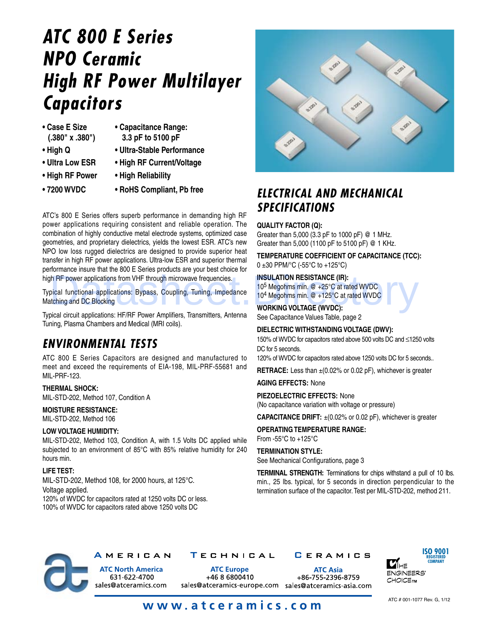# *ATC 800 E Series NPO Ceramic High RF Power Multilayer Capacitors*

- 
- **Case E Size Capacitance Range: (.380" x .380") 3.3 pF to 5100 pF**
- **High Q Ultra-Stable Performance**
- **Ultra Low ESR High RF Current/Voltage**
- 
- **High RF Power High Reliability**
- **7200 WVDC RoHS Compliant, Pb free**
- 

ATC's 800 E Series offers superb performance in demanding high RF power applications requiring consistent and reliable operation. The combination of highly conductive metal electrode systems, optimized case geometries, and proprietary dielectrics, yields the lowest ESR. ATC's new NPO low loss rugged dielectrics are designed to provide superior heat transfer in high RF power applications. Ultra-low ESR and superior thermal performance insure that the 800 E Series products are your best choice for high RF power applications from VHF through microwave frequencies.

Typical functional applications: Bypass, Coupling, Tuning, Impedance Matching and DC Blocking INSULATION RESISTANCE (IR):<br>
pical functional applications: Bypass, Coupling, Tuning, Impedance<br>
the min. @ +25°C at rated WVDC<br>
the min. @ +125°C at rated WVDC<br>
WORKING VOLTAGE (WVDC):

Typical circuit applications: HF/RF Power Amplifiers, Transmitters, Antenna Tuning, Plasma Chambers and Medical (MRI coils).

### *ENVIRONMENTAL TESTS*

ATC 800 E Series Capacitors are designed and manufactured to meet and exceed the requirements of EIA-198, MIL-PRF-55681 and MIL-PRF-123.

### **THERMAL SHOCK:**

MIL-STD-202, Method 107, Condition A

#### **MOISTURE RESISTANCE:**

MIL-STD-202, Method 106

#### **LOW VOLTAGE HUMIDITY:**

MIL-STD-202, Method 103, Condition A, with 1.5 Volts DC applied while subjected to an environment of 85°C with 85% relative humidity for 240 hours min.

#### **LIFE TEST:**

MIL-STD-202, Method 108, for 2000 hours, at 125°C. Voltage applied. 120% of WVDC for capacitors rated at 1250 volts DC or less. 100% of WVDC for capacitors rated above 1250 volts DC



### *ELECTRICAL AND MECHANICAL SPECIFICATIONS*

#### **QUALITY FACTOR (Q):**

Greater than 5,000 (3.3 pF to 1000 pF) @ 1 MHz. Greater than 5,000 (1100 pF to 5100 pF) @ 1 KHz.

#### **Temperature Coefficient of Capacitance (TCC):**

0 ±30 PPM/°C (-55°C to +125°C)

#### **Insulation Resistance (IR):**

105 Megohms min. @ +25°C at rated WVDC 104 Megohms min. @ +125°C at rated WVDC

**Working Voltage (WVDC):** See Capacitance Values Table, page 2

**Dielectric Withstanding Voltage (DWV):**

150% of WVDC for capacitors rated above 500 volts DC and ≤1250 volts DC for 5 seconds.

120% of WVDC for capacitors rated above 1250 volts DC for 5 seconds..

**RETRACE:** Less than  $\pm$ (0.02% or 0.02 pF), whichever is greater

**Aging Effects:** None

**Piezoelectric Effects:** None (No capacitance variation with voltage or pressure)

**CAPACITANCE Drift:** ±(0.02% or 0.02 pF), whichever is greater

**Operating Temperature Range:**

From -55°C to +125°C **Termination Style:**

See Mechanical Configurations, page 3

**TERMINAL STRENGTH:** Terminations for chips withstand a pull of 10 lbs. min., 25 lbs. typical, for 5 seconds in direction perpendicular to the termination surface of the capacitor. Test per MIL-STD-202, method 211.



AMERICAN

TECHNICAL

**ATC North America ATC Europe** 631-622-4700 +46 8 6800410 sales@atceramics.com

**ATC Asia** +86-755-2396-8759 sales@atceramics-europe.com sales@atceramics-asia.com

**CERAMICS** 



www.atceramics.com

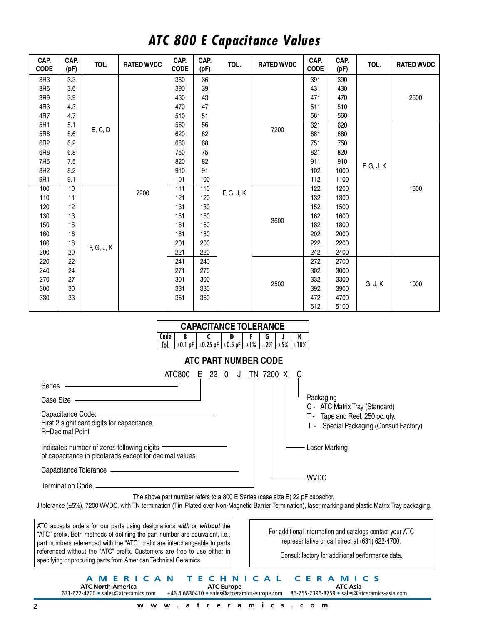## *ATC 800 E Capacitance Values*

| CAP.<br><b>CODE</b> | CAP.<br>(pF) | TOL.       | <b>RATED WVDC</b> | CAP.<br><b>CODE</b> | CAP.<br>(pF) | TOL.       | <b>RATED WVDC</b> | CAP.<br><b>CODE</b> | CAP.<br>(pF) | TOL.       | <b>RATED WVDC</b> |
|---------------------|--------------|------------|-------------------|---------------------|--------------|------------|-------------------|---------------------|--------------|------------|-------------------|
| 3R3                 | 3.3          |            |                   | 360                 | 36           |            |                   | 391                 | 390          |            |                   |
| 3R6                 | 3.6          |            |                   | 390                 | 39           |            |                   | 431                 | 430          |            |                   |
| 3R9                 | 3.9          |            |                   | 430                 | 43           |            |                   | 471                 | 470          |            | 2500              |
| 4R3                 | 4.3          |            |                   | 470                 | 47           |            |                   | 511                 | 510          |            |                   |
| 4R7                 | 4.7          |            |                   | 510                 | 51           |            |                   | 561                 | 560          |            |                   |
| 5R1                 | 5.1          | B, C, D    |                   | 560                 | 56           |            | 7200              | 621                 | 620          |            |                   |
| 5R6                 | $5.6\,$      |            |                   | 620                 | 62           |            |                   | 681                 | 680          |            |                   |
| 6R2                 | 6.2          |            |                   | 680                 | 68           |            |                   | 751                 | 750          |            |                   |
| 6R8                 | $6.8\,$      |            |                   | 750                 | 75           |            |                   | 821                 | 820          |            |                   |
| 7R <sub>5</sub>     | 7.5          |            |                   | 820                 | 82           |            |                   | 911                 | 910          | F, G, J, K |                   |
| 8R2                 | 8.2          |            |                   | 910                 | 91           |            |                   | 102                 | 1000         |            |                   |
| 9R1                 | 9.1          |            |                   | 101                 | 100          |            |                   | 112                 | 1100         |            |                   |
| 100                 | 10           |            | 7200              | 111                 | 110          | F, G, J, K |                   | 122                 | 1200         |            | 1500              |
| 110                 | 11           |            |                   | 121                 | 120          |            |                   | 132                 | 1300         |            |                   |
| 120                 | 12           |            |                   | 131                 | 130          |            |                   | 152                 | 1500         |            |                   |
| 130                 | 13           |            |                   | 151                 | 150          |            | 3600              | 162                 | 1600         |            |                   |
| 150                 | 15           |            |                   | 161                 | 160          |            |                   | 182                 | 1800         |            |                   |
| 160                 | 16           |            |                   | 181                 | 180          |            |                   | 202                 | 2000         |            |                   |
| 180                 | 18           | F, G, J, K |                   | 201                 | 200          |            |                   | 222                 | 2200         |            |                   |
| 200                 | 20           |            |                   | 221                 | 220          |            |                   | 242                 | 2400         |            |                   |
| 220                 | 22           |            |                   | 241                 | 240          |            |                   | 272                 | 2700         |            |                   |
| 240                 | 24           |            |                   | 271                 | 270          |            |                   | 302                 | 3000         |            |                   |
| 270                 | 27           |            |                   | 301                 | 300          |            | 2500              | 332                 | 3300         | G, J, K    | 1000              |
| 300                 | 30           |            |                   | 331                 | 330          |            |                   | 392                 | 3900         |            |                   |
| 330                 | 33           |            |                   | 361                 | 360          |            |                   | 472                 | 4700         |            |                   |
|                     |              |            |                   |                     |              |            |                   | 512                 | 5100         |            |                   |

#### **Capacitance Tolerance** Code **B C D F G J K**  $\pm 0.1$  pF  $\pm 0.25$  pF  $\pm 0.5$  pF  $\pm 1\%$   $\pm 2\%$



**ATC North America ATC Europe ATC Europe ATC Asia ATC Asia ATC Asia ATC Association ATC Asia ATC Asia 631-622-4700** • sales@atceramics.com **ATC ASIA 6830410** • sales@atceramics-europe.com **86-755-2396-8** +46 8 6830410 · sales@atceramics-europe.com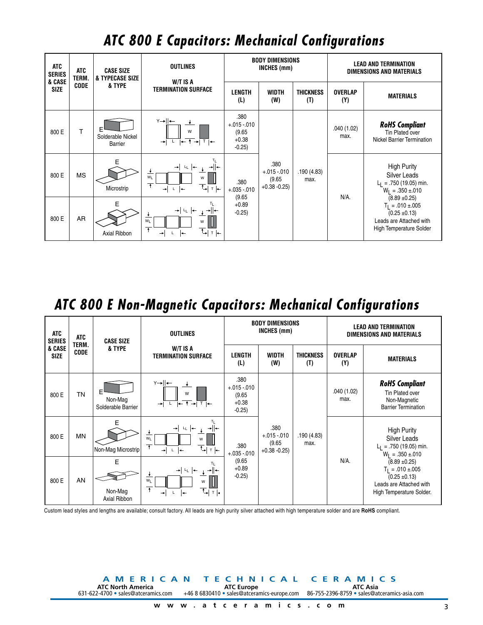# *ATC 800 E Capacitors: Mechanical Configurations*

| ATC<br><b>SERIES</b><br>& CASE | <b>ATC</b><br>TERM. | <b>CASE SIZE</b><br>& TYPECASE SIZE | <b>OUTLINES</b>                                                                                                                                                                     |                                                      | <b>BODY DIMENSIONS</b><br>INCHES (mm)            |                         |                       | <b>LEAD AND TERMINATION</b><br>DIMENSIONS AND MATERIALS                                                                   |
|--------------------------------|---------------------|-------------------------------------|-------------------------------------------------------------------------------------------------------------------------------------------------------------------------------------|------------------------------------------------------|--------------------------------------------------|-------------------------|-----------------------|---------------------------------------------------------------------------------------------------------------------------|
| <b>SIZE</b>                    | <b>CODE</b>         | & TYPE                              | W/T IS A<br><b>TERMINATION SURFACE</b>                                                                                                                                              | LENGTH<br>(L)                                        | <b>WIDTH</b><br>(W)                              | <b>THICKNESS</b><br>(T) | <b>OVERLAP</b><br>(Y) | <b>MATERIALS</b>                                                                                                          |
| 800 E                          | т                   | Solderable Nickel<br>Barrier        | $Y \rightarrow    \leftarrow$<br>W<br><b>E</b> ↑ → T E<br>$\rightarrow$                                                                                                             | .380<br>$+.015-.010$<br>(9.65)<br>$+0.38$<br>$-0.25$ |                                                  |                         | .040 (1.02)<br>max.   | <b>RoHS Compliant</b><br>Tin Plated over<br><b>Nickel Barrier Termination</b>                                             |
| 800 E                          | <b>MS</b>           | Е<br>Microstrip                     | т,<br>→ Ī←<br>$\rightarrow$<br>$L_L$ $\leftarrow$<br>$\mathsf{w}_{\mathsf{L}}$<br>W<br>∓<br>τ;<br>$T$ $\leftarrow$<br>∣←<br>$\rightarrow$                                           | .380<br>$+.035-.010$                                 | .380<br>$+.015-.010$<br>(9.65)<br>$+0.38 - 0.25$ | .190(4.83)<br>max.      | $N/A$ .               | <b>High Purity</b><br><b>Silver Leads</b><br>$L_1$ = .750 (19.05) min.<br>$W_{\parallel} = .350 \pm .010$                 |
| 800 E                          | <b>AR</b>           | E<br>Axial Ribbon                   | TL<br>$\begin{array}{c c c c} \hline \textbf{L} & \textbf{L} & \textbf{L} & \textbf{L} \\ \hline \end{array}$<br>→∥←<br>$W_L$<br>w<br>$\overline{\textbf{f}}$<br>τ,<br>$\leftarrow$ | (9.65)<br>$+0.89$<br>$-0.25$                         |                                                  |                         |                       | $(8.89 \pm 0.25)$<br>$T_1$ = .010 ±.005<br>$(0.25 \pm 0.13)$<br>Leads are Attached with<br><b>High Temperature Solder</b> |

### *ATC 800 E Non-Magnetic Capacitors: Mechanical Configurations*

| ATC<br><b>SERIES</b>  | ATC                  | <b>CASE SIZE</b>              | <b>OUTLINES</b>                                                                                                                                    |                                                        | <b>BODY DIMENSIONS</b><br>INCHES (mm)            |                         |                       | <b>LEAD AND TERMINATION</b><br><b>DIMENSIONS AND MATERIALS</b>                                                      |
|-----------------------|----------------------|-------------------------------|----------------------------------------------------------------------------------------------------------------------------------------------------|--------------------------------------------------------|--------------------------------------------------|-------------------------|-----------------------|---------------------------------------------------------------------------------------------------------------------|
| & CASE<br><b>SIZE</b> | TERM.<br><b>CODE</b> | & TYPE                        | W/T IS A<br><b>TERMINATION SURFACE</b>                                                                                                             | <b>LENGTH</b><br>(L)                                   | <b>WIDTH</b><br>(W)                              | <b>THICKNESS</b><br>(T) | <b>OVERLAP</b><br>(Y) | <b>MATERIALS</b>                                                                                                    |
| 800 E                 | <b>TN</b>            | Non-Mag<br>Solderable Barrier | Y→∥←<br>W<br><b>ETETE</b>                                                                                                                          | .380<br>$+.015-.010$<br>(9.65)<br>$+0.38$<br>$-0.25$ ) |                                                  |                         | .040 (1.02)<br>max.   | <b>RoHS Compliant</b><br>Tin Plated over<br>Non-Magnetic<br><b>Barrier Termination</b>                              |
| 800 E                 | <b>MN</b>            | Е<br>Non-Mag Microstrip       | TL<br>$+  +$<br>$\rightarrow$<br>և  ←<br>$W_L$<br>W<br>$\overline{\phantom{a}}$<br>τj<br>$\left  \right $<br>$T$ $\leftarrow$<br>$\mathsf{L}$<br>⇥ | .380<br>$+.035-.010$                                   | .380<br>$+.015-.010$<br>(9.65)<br>$+0.38 - 0.25$ | .190(4.83)<br>max.      |                       | <b>High Purity</b><br>Silver Leads<br>$L_{L}$ = .750 (19.05) min.<br>$W_1 = .350 \pm .010$                          |
| 800 E                 | AN                   | E<br>Non-Mag<br>Axial Ribbon  | Tŗ.<br>$\rightarrow \mid L_{L}\mid \leftarrow$<br>→∥←<br>W <sub>1</sub><br>W<br>$\ddot{\bullet}$<br>τ<br>$T$ $\sim$<br>∣←<br>L<br>→                | (9.65)<br>$+0.89$<br>$-0.25$ )                         |                                                  |                         | N/A.                  | $(8.89 \pm 0.25)$<br>$T_1$ = .010 ±.005<br>$(0.25 \pm 0.13)$<br>Leads are Attached with<br>High Temperature Solder. |

Custom lead styles and lengths are available; consult factory. All leads are high purity silver attached with high temperature solder and are **RoHS** compliant.

**A M E R I C A N T E C H N I C A L C E R A M I C S ATC North America**<br>**631-622-4700 • sales@atceramics.com** 

631-622-4700 • sales@atceramics.com +46 8 6830410 • sales@atceramics-europe.com 86-755-2396-8759 • sales@atceramics-asia.com